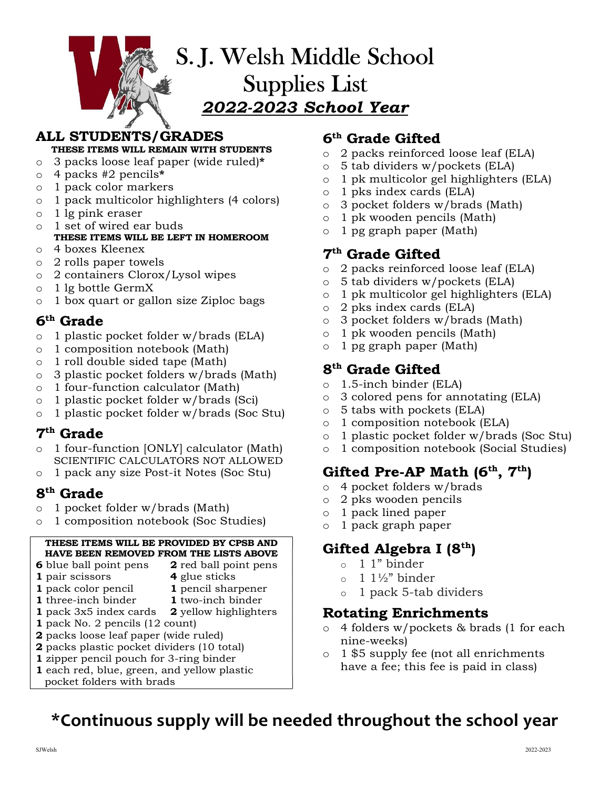

# ALL STUDENTS/GRADES

THESE ITEMS WILL REMAIN WITH STUDENTS  $\hfill\circ$ 

- $\circ$  3 packs loose leaf paper (wide ruled)\*
- o 4 packs #2 pencils\*
- o 1 pack color markers
- $\frac{1}{\alpha}$  1 pack color markets<br>  $\frac{1}{\alpha}$  1 pack multicolor highlighters (4 colors)
- o 1 lg pink eraser
- o 1 set of wired ear buds T SEE OF WILCE CALL DUCES<br>THESE ITEMS WILL BE LEFT IN HOMEROOM
- o 4 boxes Kleenex
- o 2 rolls paper towels
- o 2 containers Clorox/Lysol wipes
- o 1 lg bottle GermX
- $\frac{1}{\alpha}$  box quart or gallon size Ziploc bags

### 6 th Grade

- $\circ$  1 plastic pocket folder w/brads (ELA)  $\circ$ <br> $\circ$  1 composition notebook (Math)  $\circ$
- o 1 composition notebook (Math)
- o 1 roll double sided tape (Math)
- $\circ$  3 plastic pocket folders w/brads (Math)
- $\circ$  1 four-function calculator (Math)  $\circ$ <br> $\circ$  1 plastic pocket folder w/brods (Sci)  $\circ$
- o 1 plastic pocket folder w/brads (Sci)
- $\circ$  1 plastic pocket folder w/brads (Soc Stu)

#### 7 th Grade

- o 1 four-function [ONLY] calculator (Math) SCIENTIFIC CALCULATORS NOT ALLOWED
- o 1 pack any size Post-it Notes (Soc Stu)

#### 8<sup>th</sup> Grade and Separate support of  $S<sup>th</sup>$  Grade

- $\circ$  1 pocket folder w/brads (Math)
- o 1 composition notebook (Soc Studies)

#### THESE ITEMS WILL BE PROVIDED BY CPSB AND HAVE BEEN REMOVED FROM THE LISTS ABOVE

- **6** blue ball point pens **2** red ball point pens
- **1** pair scissors **4** glue sticks  $\qquad \qquad$
- 
- **1** pack color pencil **1** pencil sharpener  $\qquad \circ$
- 1 three-inch binder 1 two-inch binder
- **1** pack 3x5 index cards **2** yellow highlighters
- 1 pack No. 2 pencils (12 count)
- $\frac{1}{2}$  pack No. 2 pencies (12 count)<br>2 packs loose leaf paper (wide ruled)
- 2 packs plastic pocket dividers  $(10 \text{ total})$
- 1 zipper pencil pouch for 3-ring binder 1 each red, blue, green, and yellow plastic pocket folders with brads

### 6 th Grade Gifted

- 2 packs reinforced loose leaf (ELA)
- $5$  tab dividers w/pockets (ELA)
- o 1 pk multicolor gel highlighters (ELA)
- 1 pks index cards (ELA)
- 3 pocket folders w/brads (Math)
- o 1 pk wooden pencils (Math)
- 1 pg graph paper (Math)

### 7 th Grade Gifted

- 2 packs reinforced loose leaf (ELA)
- $5$  tab dividers w/pockets (ELA)
- 1 pk multicolor gel highlighters (ELA)
- 2 pks index cards (ELA)
- o 3 pocket folders w/brads (Math)
- 1 pk wooden pencils (Math)
- 1 pg graph paper (Math)

### 8 th Grade Gifted

- 1.5-inch binder (ELA)
- 3 colored pens for annotating (ELA)
- 5 tabs with pockets (ELA)
- 1 composition notebook (ELA)
- o 1 plastic pocket folder w/brads (Soc Stu)
- 1 composition notebook (Social Studies)

# Gifted Pre-AP Math  $(6<sup>th</sup>, 7<sup>th</sup>)$

- o 4 pocket folders w/brads
- o 2 pks wooden pencils
- 1 pack lined paper
- 1 pack graph paper

### Gifted Algebra I (8<sup>th</sup>)

- o 1 1" binder
- 1  $1\frac{1}{2}$ " binder
- 1 pack 5-tab dividers

### Rotating Enrichments

- 4 folders w/pockets & brads (1 for each nine-weeks)
- 1 \$5 supply fee (not all enrichments have a fee; this fee is paid in class)

# \*Continuous supply will be needed throughout the school year